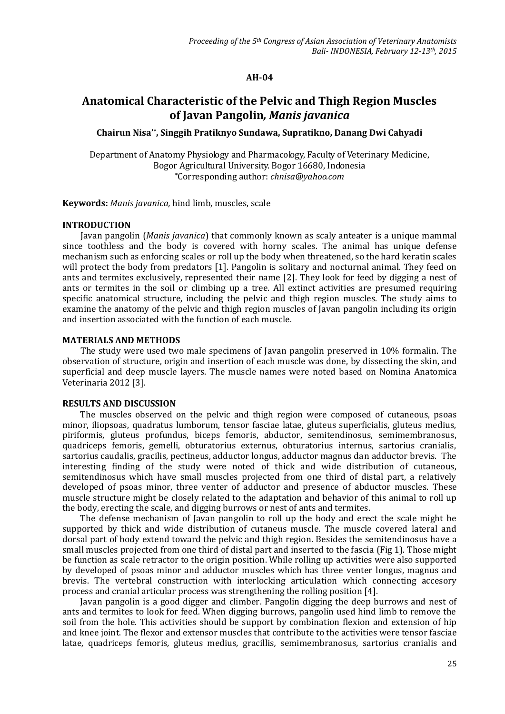#### **AH-04**

# **Anatomical Characteristic of the Pelvic and Thigh Region Muscles of Javan Pangolin***, Manis javanica*

#### **Chairun Nisa'\* , Singgih Pratiknyo Sundawa, Supratikno, Danang Dwi Cahyadi**

Department of Anatomy Physiology and Pharmacology, Faculty of Veterinary Medicine, Bogor Agricultural University. Bogor 16680, Indonesia **\***Corresponding author: *chnisa@yahoo.com*

**Keywords:** *Manis javanica,* hind limb, muscles, scale

#### **INTRODUCTION**

Javan pangolin (*Manis javanica*) that commonly known as scaly anteater is a unique mammal since toothless and the body is covered with horny scales. The animal has unique defense mechanism such as enforcing scales or roll up the body when threatened, so the hard keratin scales will protect the body from predators [1]. Pangolin is solitary and nocturnal animal. They feed on ants and termites exclusively, represented their name [2]. They look for feed by digging a nest of ants or termites in the soil or climbing up a tree. All extinct activities are presumed requiring specific anatomical structure, including the pelvic and thigh region muscles. The study aims to examine the anatomy of the pelvic and thigh region muscles of Javan pangolin including its origin and insertion associated with the function of each muscle.

#### **MATERIALS AND METHODS**

The study were used two male specimens of Javan pangolin preserved in 10% formalin. The observation of structure, origin and insertion of each muscle was done, by dissecting the skin, and superficial and deep muscle layers. The muscle names were noted based on Nomina Anatomica Veterinaria 2012 [3].

### **RESULTS AND DISCUSSION**

The muscles observed on the pelvic and thigh region were composed of cutaneous, psoas minor, iliopsoas, quadratus lumborum, tensor fasciae latae, gluteus superficialis, gluteus medius, piriformis, gluteus profundus, biceps femoris, abductor, semitendinosus, semimembranosus, quadriceps femoris, gemelli, obturatorius externus, obturatorius internus, sartorius cranialis, sartorius caudalis, gracilis, pectineus, adductor longus, adductor magnus dan adductor brevis. The interesting finding of the study were noted of thick and wide distribution of cutaneous, semitendinosus which have small muscles projected from one third of distal part, a relatively developed of psoas minor, three venter of adductor and presence of abductor muscles. These muscle structure might be closely related to the adaptation and behavior of this animal to roll up the body, erecting the scale, and digging burrows or nest of ants and termites.

The defense mechanism of Javan pangolin to roll up the body and erect the scale might be supported by thick and wide distribution of cutaneus muscle. The muscle covered lateral and dorsal part of body extend toward the pelvic and thigh region. Besides the semitendinosus have a small muscles projected from one third of distal part and inserted to the fascia (Fig 1). Those might be function as scale retractor to the origin position. While rolling up activities were also supported by developed of psoas minor and adductor muscles which has three venter longus, magnus and brevis. The vertebral construction with interlocking articulation which connecting accesory process and cranial articular process was strengthening the rolling position [4].

Javan pangolin is a good digger and climber. Pangolin digging the deep burrows and nest of ants and termites to look for feed. When digging burrows, pangolin used hind limb to remove the soil from the hole. This activities should be support by combination flexion and extension of hip and knee joint. The flexor and extensor muscles that contribute to the activities were tensor fasciae latae*,* quadriceps femoris*,* gluteus medius*,* gracillis*,* semimembranosus*,* sartorius cranialis and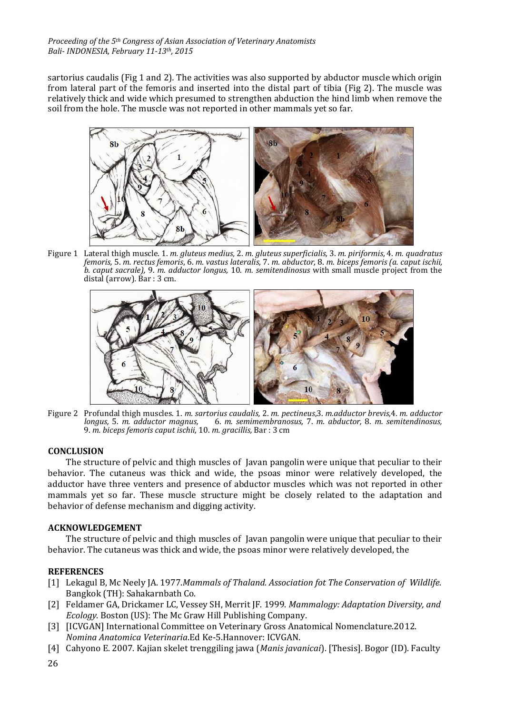sartorius caudalis (Fig 1 and 2)*.* The activities was also supported by abductor muscle which origin from lateral part of the femoris and inserted into the distal part of tibia (Fig 2). The muscle was relatively thick and wide which presumed to strengthen abduction the hind limb when remove the soil from the hole. The muscle was not reported in other mammals yet so far.



Figure 1 Lateral thigh muscle. 1. *m. gluteus medius,* 2. *m. gluteus superficialis,* 3. *m. piriformis*, 4. *m. quadratus femoris,* 5. *m. rectus femoris*, 6. *m. vastus lateralis,* 7. *m. abductor,* 8. *m. biceps femoris (a. caput ischii, b. caput sacrale),* 9. *m. adductor longus,* 10. *m. semitendinosus* with small muscle project from the distal (arrow)*.* Bar : 3 cm.



Figure 2 Profundal thigh muscles. 1. *m. sartorius caudalis,* 2. *m. pectineus*,3. *m.adductor brevis,*4. *m. adductor longus,* 5. *m. adductor magnus,* 6. *m. semimembranosus,* 7. *m. abductor,* 8. *m. semitendinosus,* 9. *m. biceps femoris caput ischii,* 10. *m. gracillis,* Bar : 3 cm

## **CONCLUSION**

The structure of pelvic and thigh muscles of Javan pangolin were unique that peculiar to their behavior. The cutaneus was thick and wide, the psoas minor were relatively developed, the adductor have three venters and presence of abductor muscles which was not reported in other mammals yet so far. These muscle structure might be closely related to the adaptation and behavior of defense mechanism and digging activity.

## **ACKNOWLEDGEMENT**

The structure of pelvic and thigh muscles of Javan pangolin were unique that peculiar to their behavior. The cutaneus was thick and wide, the psoas minor were relatively developed, the

## **REFERENCES**

- [1] Lekagul B, Mc Neely JA. 1977.*Mammals of Thaland. Association fot The Conservation of Wildlife.* Bangkok (TH): Sahakarnbath Co.
- [2] Feldamer GA, Drickamer LC, Vessey SH, Merrit JF. 1999. *Mammalogy: Adaptation Diversity, and Ecology.* Boston (US): The Mc Graw Hill Publishing Company.
- [3] [ICVGAN] International Committee on Veterinary Gross Anatomical Nomenclature.2012. *Nomina Anatomica Veterinaria*.Ed Ke-5.Hannover: ICVGAN.
- [4] Cahyono E. 2007. Kajian skelet trenggiling jawa (*Manis javanicai*). [Thesis]. Bogor (ID). Faculty
- 26